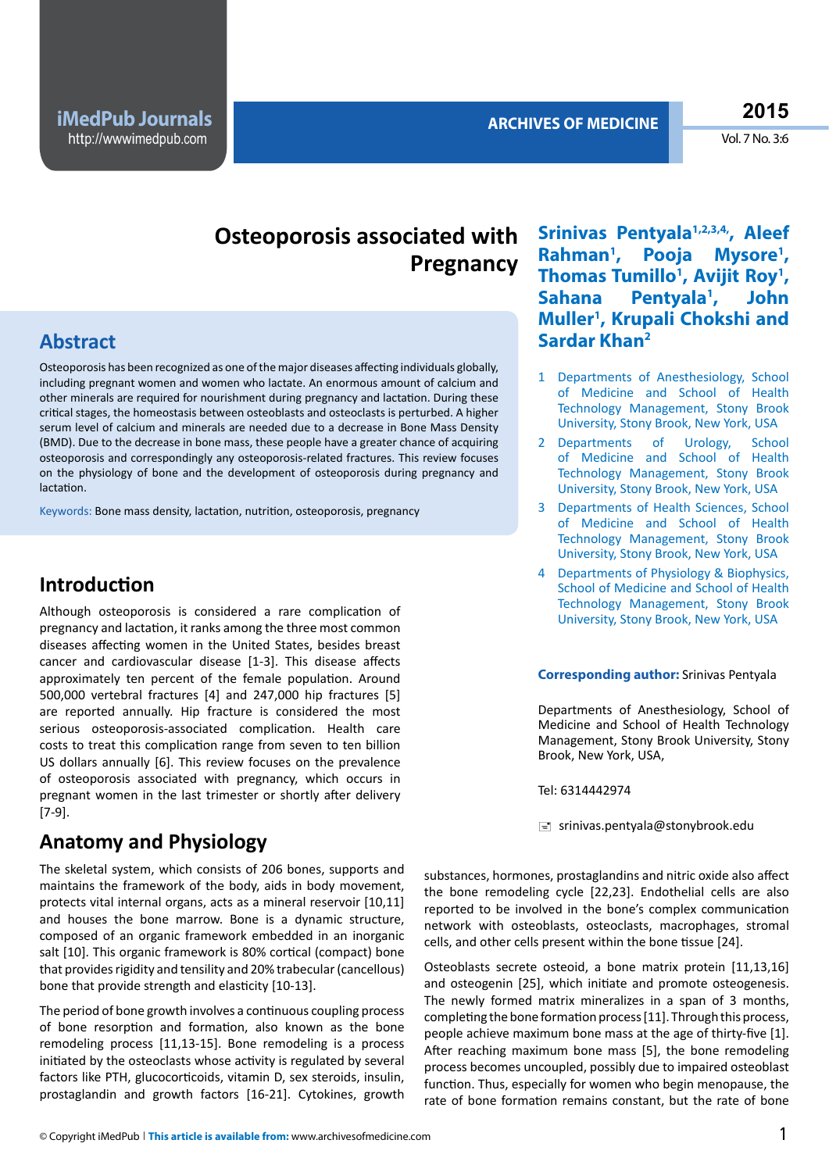Vol. 7 No. 3:6

# **Osteoporosis associated with Srinivas Pentyala1,2,3,4,, Aleef Pregnancy**

### **Abstract**

Osteoporosis has been recognized as one of the major diseases affecting individuals globally, including pregnant women and women who lactate. An enormous amount of calcium and other minerals are required for nourishment during pregnancy and lactation. During these critical stages, the homeostasis between osteoblasts and osteoclasts is perturbed. A higher serum level of calcium and minerals are needed due to a decrease in Bone Mass Density (BMD). Due to the decrease in bone mass, these people have a greater chance of acquiring osteoporosis and correspondingly any osteoporosis-related fractures. This review focuses on the physiology of bone and the development of osteoporosis during pregnancy and lactation.

Keywords: Bone mass density, lactation, nutrition, osteoporosis, pregnancy

#### **Introduction**

Although osteoporosis is considered a rare complication of pregnancy and lactation, it ranks among the three most common diseases affecting women in the United States, besides breast cancer and cardiovascular disease [1-3]. This disease affects approximately ten percent of the female population. Around 500,000 vertebral fractures [4] and 247,000 hip fractures [5] are reported annually. Hip fracture is considered the most serious osteoporosis-associated complication. Health care costs to treat this complication range from seven to ten billion US dollars annually [6]. This review focuses on the prevalence of osteoporosis associated with pregnancy, which occurs in pregnant women in the last trimester or shortly after delivery [7-9].

### **Anatomy and Physiology**

The skeletal system, which consists of 206 bones, supports and maintains the framework of the body, aids in body movement, protects vital internal organs, acts as a mineral reservoir [10,11] and houses the bone marrow. Bone is a dynamic structure, composed of an organic framework embedded in an inorganic salt [10]. This organic framework is 80% cortical (compact) bone that provides rigidity and tensility and 20% trabecular (cancellous) bone that provide strength and elasticity [10-13].

The period of bone growth involves a continuous coupling process of bone resorption and formation, also known as the bone remodeling process [11,13-15]. Bone remodeling is a process initiated by the osteoclasts whose activity is regulated by several factors like PTH, glucocorticoids, vitamin D, sex steroids, insulin, prostaglandin and growth factors [16-21]. Cytokines, growth

**Rahman1 , Pooja Mysore1** Mysore<sup>1</sup>, Thomas Tumillo<sup>1</sup>, Avijit Roy<sup>1</sup>, Sahana Pentyala<sup>1</sup>, John **Muller1 , Krupali Chokshi and Sardar Khan2**

- 1 Departments of Anesthesiology, School of Medicine and School of Health Technology Management, Stony Brook University, Stony Brook, New York, USA
- 2 Departments of Urology, School of Medicine and School of Health Technology Management, Stony Brook University, Stony Brook, New York, USA
- 3 Departments of Health Sciences, School of Medicine and School of Health Technology Management, Stony Brook University, Stony Brook, New York, USA
- 4 Departments of Physiology & Biophysics, School of Medicine and School of Health Technology Management, Stony Brook University, Stony Brook, New York, USA

#### **Corresponding author:** Srinivas Pentyala

Departments of Anesthesiology, School of Medicine and School of Health Technology Management, Stony Brook University, Stony Brook, New York, USA,

Tel: 6314442974

 $\equiv$  srinivas.pentyala@stonybrook.edu

substances, hormones, prostaglandins and nitric oxide also affect the bone remodeling cycle [22,23]. Endothelial cells are also reported to be involved in the bone's complex communication network with osteoblasts, osteoclasts, macrophages, stromal cells, and other cells present within the bone tissue [24].

Osteoblasts secrete osteoid, a bone matrix protein [11,13,16] and osteogenin [25], which initiate and promote osteogenesis. The newly formed matrix mineralizes in a span of 3 months, completing the bone formation process [11]. Through this process, people achieve maximum bone mass at the age of thirty-five [1]. After reaching maximum bone mass [5], the bone remodeling process becomes uncoupled, possibly due to impaired osteoblast function. Thus, especially for women who begin menopause, the rate of bone formation remains constant, but the rate of bone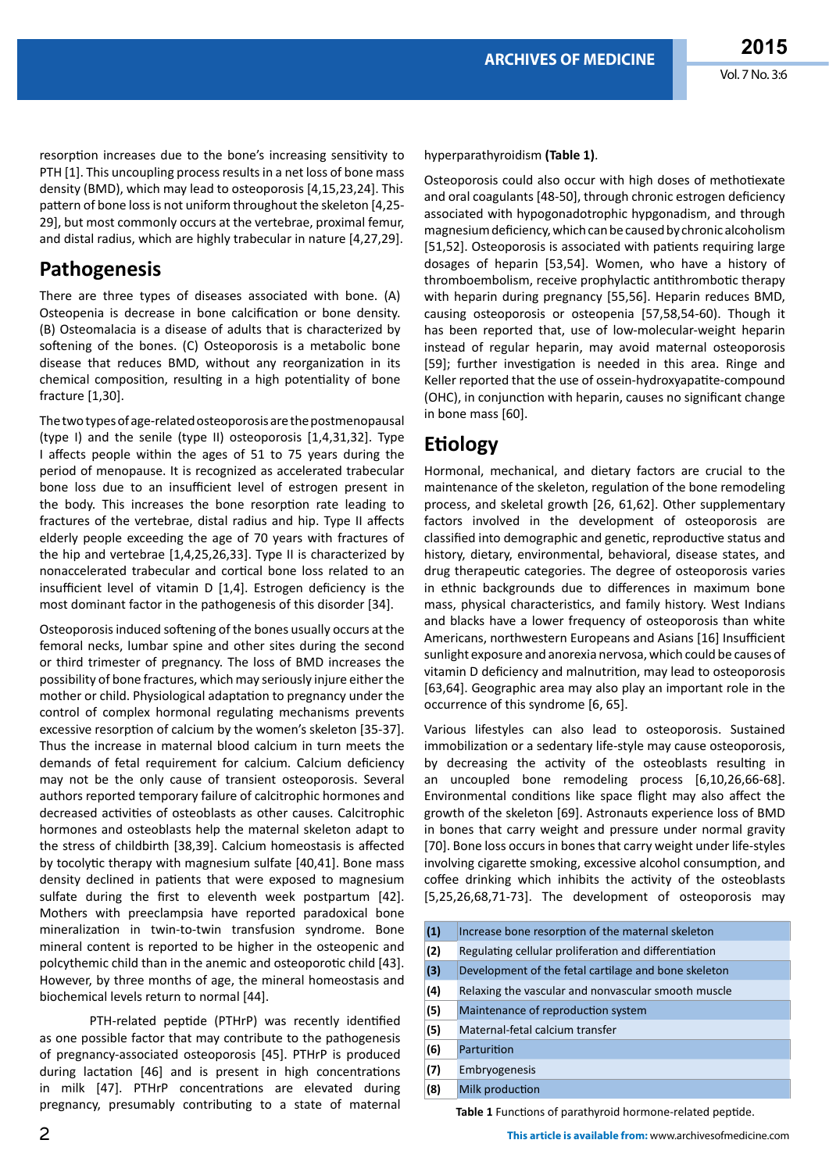resorption increases due to the bone's increasing sensitivity to PTH [1]. This uncoupling process results in a net loss of bone mass density (BMD), which may lead to osteoporosis [4,15,23,24]. This pattern of bone loss is not uniform throughout the skeleton [4,25- 29], but most commonly occurs at the vertebrae, proximal femur, and distal radius, which are highly trabecular in nature [4,27,29].

## **Pathogenesis**

There are three types of diseases associated with bone. (A) Osteopenia is decrease in bone calcification or bone density. (B) Osteomalacia is a disease of adults that is characterized by softening of the bones. (C) Osteoporosis is a metabolic bone disease that reduces BMD, without any reorganization in its chemical composition, resulting in a high potentiality of bone fracture [1,30].

The two types of age-related osteoporosis are the postmenopausal (type I) and the senile (type II) osteoporosis [1,4,31,32]. Type I affects people within the ages of 51 to 75 years during the period of menopause. It is recognized as accelerated trabecular bone loss due to an insufficient level of estrogen present in the body. This increases the bone resorption rate leading to fractures of the vertebrae, distal radius and hip. Type II affects elderly people exceeding the age of 70 years with fractures of the hip and vertebrae [1,4,25,26,33]. Type II is characterized by nonaccelerated trabecular and cortical bone loss related to an insufficient level of vitamin D [1,4]. Estrogen deficiency is the most dominant factor in the pathogenesis of this disorder [34].

Osteoporosis induced softening of the bones usually occurs at the femoral necks, lumbar spine and other sites during the second or third trimester of pregnancy. The loss of BMD increases the possibility of bone fractures, which may seriously injure either the mother or child. Physiological adaptation to pregnancy under the control of complex hormonal regulating mechanisms prevents excessive resorption of calcium by the women's skeleton [35-37]. Thus the increase in maternal blood calcium in turn meets the demands of fetal requirement for calcium. Calcium deficiency may not be the only cause of transient osteoporosis. Several authors reported temporary failure of calcitrophic hormones and decreased activities of osteoblasts as other causes. Calcitrophic hormones and osteoblasts help the maternal skeleton adapt to the stress of childbirth [38,39]. Calcium homeostasis is affected by tocolytic therapy with magnesium sulfate [40,41]. Bone mass density declined in patients that were exposed to magnesium sulfate during the first to eleventh week postpartum [42]. Mothers with preeclampsia have reported paradoxical bone mineralization in twin-to-twin transfusion syndrome. Bone mineral content is reported to be higher in the osteopenic and polcythemic child than in the anemic and osteoporotic child [43]. However, by three months of age, the mineral homeostasis and biochemical levels return to normal [44].

PTH-related peptide (PTHrP) was recently identified as one possible factor that may contribute to the pathogenesis of pregnancy-associated osteoporosis [45]. PTHrP is produced during lactation [46] and is present in high concentrations in milk [47]. PTHrP concentrations are elevated during pregnancy, presumably contributing to a state of maternal

hyperparathyroidism **(Table 1)**.

Osteoporosis could also occur with high doses of methotiexate and oral coagulants [48-50], through chronic estrogen deficiency associated with hypogonadotrophic hypgonadism, and through magnesium deficiency, which can be caused by chronic alcoholism [51,52]. Osteoporosis is associated with patients requiring large dosages of heparin [53,54]. Women, who have a history of thromboembolism, receive prophylactic antithrombotic therapy with heparin during pregnancy [55,56]. Heparin reduces BMD, causing osteoporosis or osteopenia [57,58,54-60). Though it has been reported that, use of low-molecular-weight heparin instead of regular heparin, may avoid maternal osteoporosis [59]; further investigation is needed in this area. Ringe and Keller reported that the use of ossein-hydroxyapatite-compound (OHC), in conjunction with heparin, causes no significant change in bone mass [60].

#### **Etiology**

Hormonal, mechanical, and dietary factors are crucial to the maintenance of the skeleton, regulation of the bone remodeling process, and skeletal growth [26, 61,62]. Other supplementary factors involved in the development of osteoporosis are classified into demographic and genetic, reproductive status and history, dietary, environmental, behavioral, disease states, and drug therapeutic categories. The degree of osteoporosis varies in ethnic backgrounds due to differences in maximum bone mass, physical characteristics, and family history. West Indians and blacks have a lower frequency of osteoporosis than white Americans, northwestern Europeans and Asians [16] Insufficient sunlight exposure and anorexia nervosa, which could be causes of vitamin D deficiency and malnutrition, may lead to osteoporosis [63,64]. Geographic area may also play an important role in the occurrence of this syndrome [6, 65].

Various lifestyles can also lead to osteoporosis. Sustained immobilization or a sedentary life-style may cause osteoporosis, by decreasing the activity of the osteoblasts resulting in an uncoupled bone remodeling process [6,10,26,66-68]. Environmental conditions like space flight may also affect the growth of the skeleton [69]. Astronauts experience loss of BMD in bones that carry weight and pressure under normal gravity [70]. Bone loss occurs in bones that carry weight under life-styles involving cigarette smoking, excessive alcohol consumption, and coffee drinking which inhibits the activity of the osteoblasts [5,25,26,68,71-73]. The development of osteoporosis may

| (1) | Increase bone resorption of the maternal skeleton     |  |  |
|-----|-------------------------------------------------------|--|--|
| (2) | Regulating cellular proliferation and differentiation |  |  |
| (3) | Development of the fetal cartilage and bone skeleton  |  |  |
| (4) | Relaxing the vascular and nonvascular smooth muscle   |  |  |
| (5) | Maintenance of reproduction system                    |  |  |
| (5) | Maternal-fetal calcium transfer                       |  |  |
| (6) | Parturition                                           |  |  |
| (7) | Embryogenesis                                         |  |  |
| (8) | Milk production                                       |  |  |

**Table 1** Functions of parathyroid hormone-related peptide.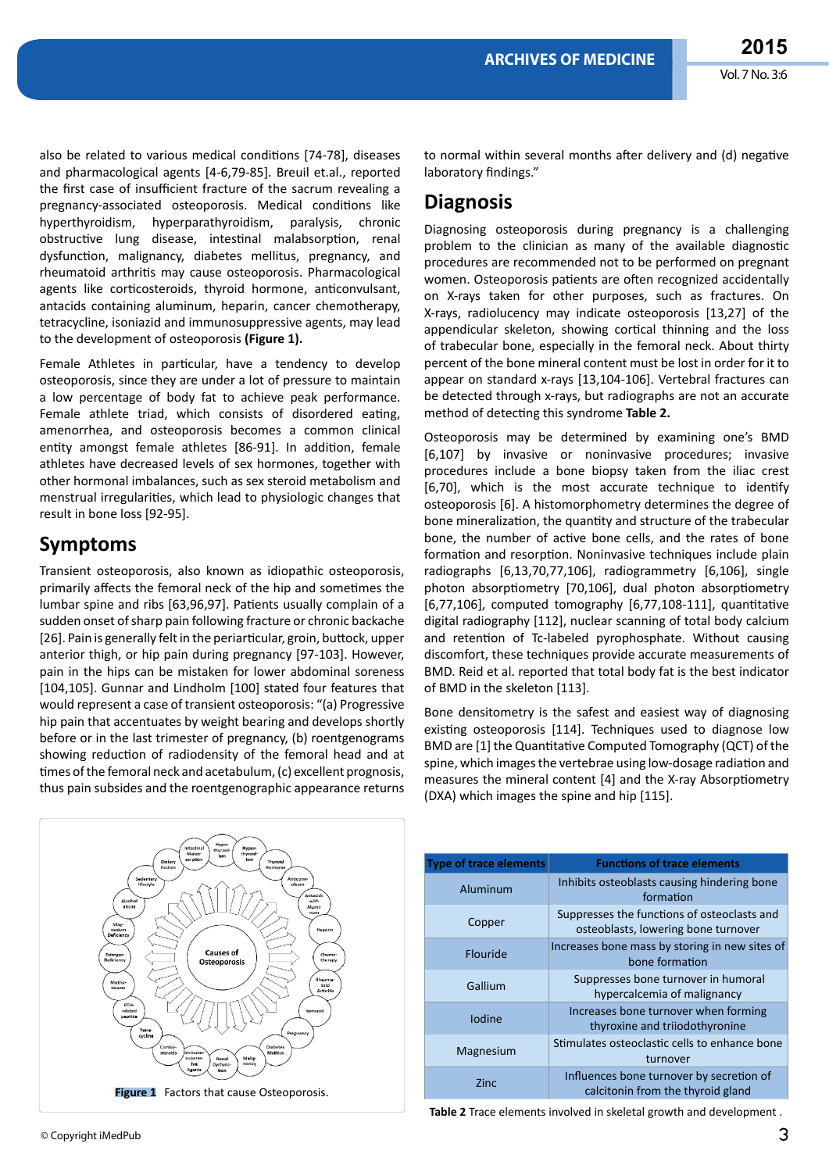also be related to various medical conditions [74-78], diseases and pharmacological agents [4-6,79-85]. Breuil et.al., reported the first case of insufficient fracture of the sacrum revealing a pregnancy-associated osteoporosis. Medical conditions like hyperthyroidism, hyperparathyroidism, paralysis, chronic obstructive lung disease, intestinal malabsorption, renal dysfunction, malignancy, diabetes mellitus, pregnancy, and rheumatoid arthritis may cause osteoporosis. Pharmacological agents like corticosteroids, thyroid hormone, anticonvulsant, antacids containing aluminum, heparin, cancer chemotherapy, tetracycline, isoniazid and immunosuppressive agents, may lead to the development of osteoporosis **(Figure 1).**

Female Athletes in particular, have a tendency to develop osteoporosis, since they are under a lot of pressure to maintain a low percentage of body fat to achieve peak performance. Female athlete triad, which consists of disordered eating, amenorrhea, and osteoporosis becomes a common clinical entity amongst female athletes [86-91]. In addition, female athletes have decreased levels of sex hormones, together with other hormonal imbalances, such as sex steroid metabolism and menstrual irregularities, which lead to physiologic changes that result in bone loss [92-95].

### **Symptoms**

Transient osteoporosis, also known as idiopathic osteoporosis, primarily affects the femoral neck of the hip and sometimes the lumbar spine and ribs [63,96,97]. Patients usually complain of a sudden onset of sharp pain following fracture or chronic backache [26]. Pain is generally felt in the periarticular, groin, buttock, upper anterior thigh, or hip pain during pregnancy [97-103]. However, pain in the hips can be mistaken for lower abdominal soreness [104,105]. Gunnar and Lindholm [100] stated four features that would represent a case of transient osteoporosis: "(a) Progressive hip pain that accentuates by weight bearing and develops shortly before or in the last trimester of pregnancy, (b) roentgenograms showing reduction of radiodensity of the femoral head and at times of the femoral neck and acetabulum, (c) excellent prognosis, thus pain subsides and the roentgenographic appearance returns

**Figure 1** Factors that cause Osteoporosis.

to normal within several months after delivery and (d) negative laboratory findings."

# **Diagnosis**

Diagnosing osteoporosis during pregnancy is a challenging problem to the clinician as many of the available diagnostic procedures are recommended not to be performed on pregnant women. Osteoporosis patients are often recognized accidentally on X-rays taken for other purposes, such as fractures. On X-rays, radiolucency may indicate osteoporosis [13,27] of the appendicular skeleton, showing cortical thinning and the loss of trabecular bone, especially in the femoral neck. About thirty percent of the bone mineral content must be lost in order for it to appear on standard x-rays [13,104-106]. Vertebral fractures can be detected through x-rays, but radiographs are not an accurate method of detecting this syndrome **Table 2.**

Osteoporosis may be determined by examining one's BMD [6,107] by invasive or noninvasive procedures; invasive procedures include a bone biopsy taken from the iliac crest [6,70], which is the most accurate technique to identify osteoporosis [6]. A histomorphometry determines the degree of bone mineralization, the quantity and structure of the trabecular bone, the number of active bone cells, and the rates of bone formation and resorption. Noninvasive techniques include plain radiographs [6,13,70,77,106], radiogrammetry [6,106], single photon absorptiometry [70,106], dual photon absorptiometry [6,77,106], computed tomography [6,77,108-111], quantitative digital radiography [112], nuclear scanning of total body calcium and retention of Tc-labeled pyrophosphate. Without causing discomfort, these techniques provide accurate measurements of BMD. Reid et al. reported that total body fat is the best indicator of BMD in the skeleton [113].

Bone densitometry is the safest and easiest way of diagnosing existing osteoporosis [114]. Techniques used to diagnose low BMD are [1] the Quantitative Computed Tomography (QCT) of the spine, which images the vertebrae using low-dosage radiation and measures the mineral content [4] and the X-ray Absorptiometry (DXA) which images the spine and hip [115].

| <b>Type of trace elements</b> | <b>Functions of trace elements</b>                                                 |
|-------------------------------|------------------------------------------------------------------------------------|
| Aluminum                      | Inhibits osteoblasts causing hindering bone<br>formation                           |
| Copper                        | Suppresses the functions of osteoclasts and<br>osteoblasts, lowering bone turnover |
| Flouride                      | Increases bone mass by storing in new sites of<br>bone formation                   |
| Gallium                       | Suppresses bone turnover in humoral<br>hypercalcemia of malignancy                 |
| <b>lodine</b>                 | Increases bone turnover when forming<br>thyroxine and triiodothyronine             |
| Magnesium                     | Stimulates osteoclastic cells to enhance bone<br>turnover                          |
| Zinc                          | Influences bone turnover by secretion of<br>calcitonin from the thyroid gland      |

**Table 2** Trace elements involved in skeletal growth and development .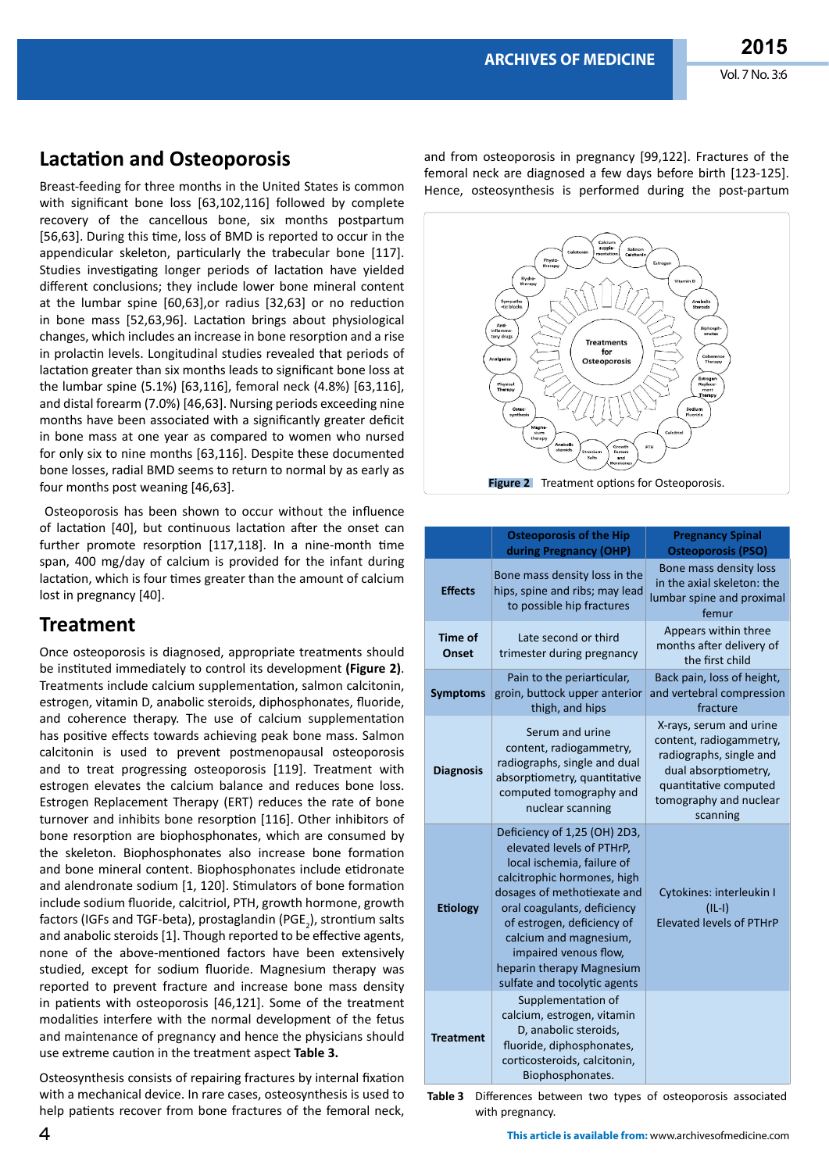## **Lactation and Osteoporosis**

Breast-feeding for three months in the United States is common with significant bone loss [63,102,116] followed by complete recovery of the cancellous bone, six months postpartum [56,63]. During this time, loss of BMD is reported to occur in the appendicular skeleton, particularly the trabecular bone [117]. Studies investigating longer periods of lactation have yielded different conclusions; they include lower bone mineral content at the lumbar spine [60,63],or radius [32,63] or no reduction in bone mass [52,63,96]. Lactation brings about physiological changes, which includes an increase in bone resorption and a rise in prolactin levels. Longitudinal studies revealed that periods of lactation greater than six months leads to significant bone loss at the lumbar spine (5.1%) [63,116], femoral neck (4.8%) [63,116], and distal forearm (7.0%) [46,63]. Nursing periods exceeding nine months have been associated with a significantly greater deficit in bone mass at one year as compared to women who nursed for only six to nine months [63,116]. Despite these documented bone losses, radial BMD seems to return to normal by as early as four months post weaning [46,63].

 Osteoporosis has been shown to occur without the influence of lactation [40], but continuous lactation after the onset can further promote resorption [117,118]. In a nine-month time span, 400 mg/day of calcium is provided for the infant during lactation, which is four times greater than the amount of calcium lost in pregnancy [40].

#### **Treatment**

Once osteoporosis is diagnosed, appropriate treatments should be instituted immediately to control its development **(Figure 2)**. Treatments include calcium supplementation, salmon calcitonin, estrogen, vitamin D, anabolic steroids, diphosphonates, fluoride, and coherence therapy. The use of calcium supplementation has positive effects towards achieving peak bone mass. Salmon calcitonin is used to prevent postmenopausal osteoporosis and to treat progressing osteoporosis [119]. Treatment with estrogen elevates the calcium balance and reduces bone loss. Estrogen Replacement Therapy (ERT) reduces the rate of bone turnover and inhibits bone resorption [116]. Other inhibitors of bone resorption are biophosphonates, which are consumed by the skeleton. Biophosphonates also increase bone formation and bone mineral content. Biophosphonates include etidronate and alendronate sodium [1, 120]. Stimulators of bone formation include sodium fluoride, calcitriol, PTH, growth hormone, growth factors (IGFs and TGF-beta), prostaglandin (PGE<sub>2</sub>), strontium salts and anabolic steroids [1]. Though reported to be effective agents, none of the above-mentioned factors have been extensively studied, except for sodium fluoride. Magnesium therapy was reported to prevent fracture and increase bone mass density in patients with osteoporosis [46,121]. Some of the treatment modalities interfere with the normal development of the fetus and maintenance of pregnancy and hence the physicians should use extreme caution in the treatment aspect **Table 3.**

Osteosynthesis consists of repairing fractures by internal fixation with a mechanical device. In rare cases, osteosynthesis is used to help patients recover from bone fractures of the femoral neck,

and from osteoporosis in pregnancy [99,122]. Fractures of the femoral neck are diagnosed a few days before birth [123-125]. Hence, osteosynthesis is performed during the post-partum



|                         | <b>Osteoporosis of the Hip</b><br>during Pregnancy (OHP)                                                                                                                                                                                                                                                                           | <b>Pregnancy Spinal</b><br><b>Osteoporosis (PSO)</b>                                                                                                                 |
|-------------------------|------------------------------------------------------------------------------------------------------------------------------------------------------------------------------------------------------------------------------------------------------------------------------------------------------------------------------------|----------------------------------------------------------------------------------------------------------------------------------------------------------------------|
| <b>Effects</b>          | Bone mass density loss in the<br>hips, spine and ribs; may lead<br>to possible hip fractures                                                                                                                                                                                                                                       | Bone mass density loss<br>in the axial skeleton: the<br>lumbar spine and proximal<br>femur                                                                           |
| <b>Time of</b><br>Onset | Late second or third<br>trimester during pregnancy                                                                                                                                                                                                                                                                                 | Appears within three<br>months after delivery of<br>the first child                                                                                                  |
| <b>Symptoms</b>         | Pain to the periarticular,<br>groin, buttock upper anterior<br>thigh, and hips                                                                                                                                                                                                                                                     | Back pain, loss of height,<br>and vertebral compression<br>fracture                                                                                                  |
| <b>Diagnosis</b>        | Serum and urine<br>content, radiogammetry,<br>radiographs, single and dual<br>absorptiometry, quantitative<br>computed tomography and<br>nuclear scanning                                                                                                                                                                          | X-rays, serum and urine<br>content, radiogammetry,<br>radiographs, single and<br>dual absorptiometry,<br>quantitative computed<br>tomography and nuclear<br>scanning |
| <b>Etiology</b>         | Deficiency of 1,25 (OH) 2D3,<br>elevated levels of PTHrP,<br>local ischemia, failure of<br>calcitrophic hormones, high<br>dosages of methotiexate and<br>oral coagulants, deficiency<br>of estrogen, deficiency of<br>calcium and magnesium,<br>impaired venous flow,<br>heparin therapy Magnesium<br>sulfate and tocolytic agents | Cytokines: interleukin I<br>$(IL-I)$<br><b>Elevated levels of PTHrP</b>                                                                                              |
| <b>Treatment</b>        | Supplementation of<br>calcium, estrogen, vitamin<br>D, anabolic steroids,<br>fluoride, diphosphonates,<br>corticosteroids, calcitonin,<br>Biophosphonates.                                                                                                                                                                         |                                                                                                                                                                      |

Table 3 Differences between two types of osteoporosis associated with pregnancy.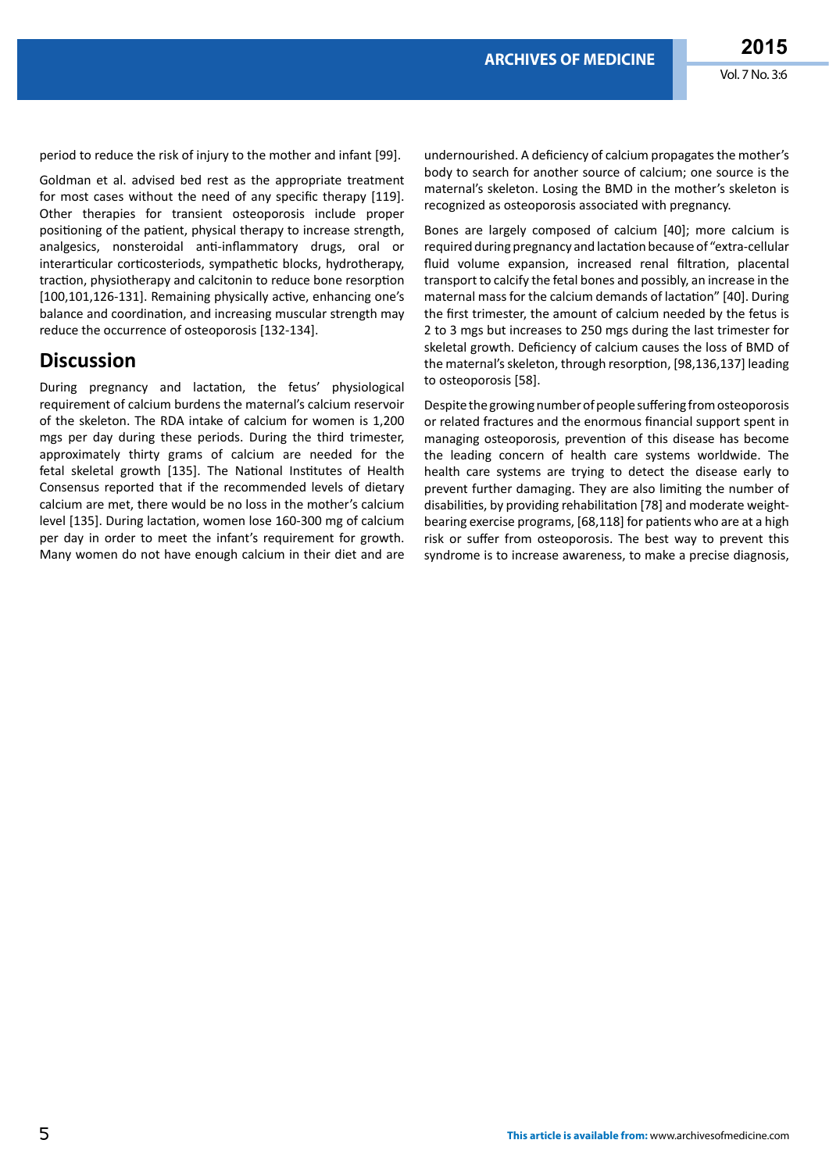period to reduce the risk of injury to the mother and infant [99].

Goldman et al. advised bed rest as the appropriate treatment for most cases without the need of any specific therapy [119]. Other therapies for transient osteoporosis include proper positioning of the patient, physical therapy to increase strength, analgesics, nonsteroidal anti-inflammatory drugs, oral or interarticular corticosteriods, sympathetic blocks, hydrotherapy, traction, physiotherapy and calcitonin to reduce bone resorption [100,101,126-131]. Remaining physically active, enhancing one's balance and coordination, and increasing muscular strength may reduce the occurrence of osteoporosis [132-134].

#### **Discussion**

During pregnancy and lactation, the fetus' physiological requirement of calcium burdens the maternal's calcium reservoir of the skeleton. The RDA intake of calcium for women is 1,200 mgs per day during these periods. During the third trimester, approximately thirty grams of calcium are needed for the fetal skeletal growth [135]. The National Institutes of Health Consensus reported that if the recommended levels of dietary calcium are met, there would be no loss in the mother's calcium level [135]. During lactation, women lose 160-300 mg of calcium per day in order to meet the infant's requirement for growth. Many women do not have enough calcium in their diet and are

undernourished. A deficiency of calcium propagates the mother's body to search for another source of calcium; one source is the maternal's skeleton. Losing the BMD in the mother's skeleton is recognized as osteoporosis associated with pregnancy.

Bones are largely composed of calcium [40]; more calcium is required during pregnancy and lactation because of "extra-cellular fluid volume expansion, increased renal filtration, placental transport to calcify the fetal bones and possibly, an increase in the maternal mass for the calcium demands of lactation" [40]. During the first trimester, the amount of calcium needed by the fetus is 2 to 3 mgs but increases to 250 mgs during the last trimester for skeletal growth. Deficiency of calcium causes the loss of BMD of the maternal's skeleton, through resorption, [98,136,137] leading to osteoporosis [58].

Despite the growing number of people suffering from osteoporosis or related fractures and the enormous financial support spent in managing osteoporosis, prevention of this disease has become the leading concern of health care systems worldwide. The health care systems are trying to detect the disease early to prevent further damaging. They are also limiting the number of disabilities, by providing rehabilitation [78] and moderate weightbearing exercise programs, [68,118] for patients who are at a high risk or suffer from osteoporosis. The best way to prevent this syndrome is to increase awareness, to make a precise diagnosis,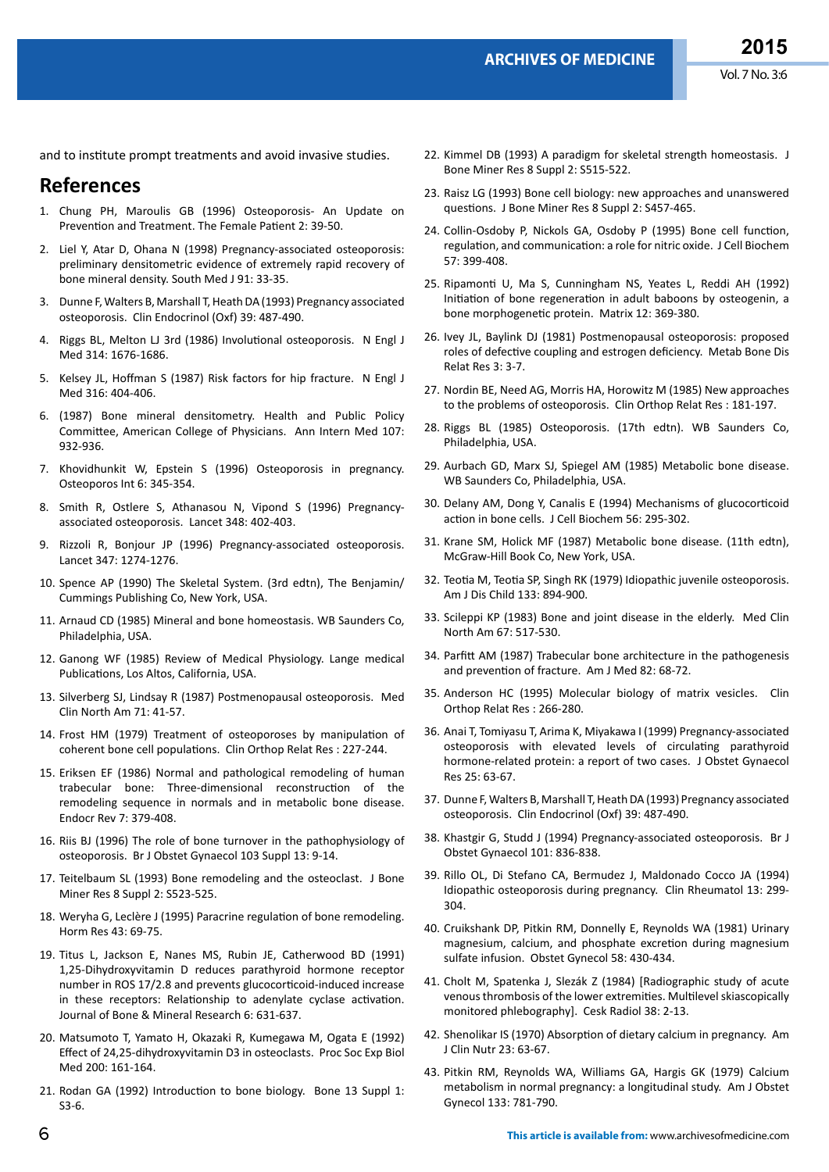and to institute prompt treatments and avoid invasive studies.

#### **References**

- 1. Chung PH, Maroulis GB (1996) Osteoporosis- An Update on Prevention and Treatment. The Female Patient 2: 39-50.
- 2. [Liel Y, Atar D, Ohana N \(1998\) Pregnancy-associated osteoporosis:](http://www.ncbi.nlm.nih.gov/pubmed/9438399)  [preliminary densitometric evidence of extremely rapid recovery of](http://www.ncbi.nlm.nih.gov/pubmed/9438399)  [bone mineral density. South Med J 91: 33-35.](http://www.ncbi.nlm.nih.gov/pubmed/9438399)
- 3. [Dunne F, Walters B, Marshall T, Heath DA \(1993\) Pregnancy associated](http://www.ncbi.nlm.nih.gov/pubmed/8287577)  [osteoporosis. Clin Endocrinol \(Oxf\) 39: 487-490.](http://www.ncbi.nlm.nih.gov/pubmed/8287577)
- 4. [Riggs BL, Melton LJ 3rd \(1986\) Involutional osteoporosis. N Engl J](http://www.ncbi.nlm.nih.gov/pubmed/3520321)  [Med 314: 1676-1686.](http://www.ncbi.nlm.nih.gov/pubmed/3520321)
- 5. [Kelsey JL, Hoffman S \(1987\) Risk factors for hip fracture. N Engl J](http://www.ncbi.nlm.nih.gov/pubmed/3807977)  [Med 316: 404-406.](http://www.ncbi.nlm.nih.gov/pubmed/3807977)
- 6. [\(1987\) Bone mineral densitometry. Health and Public Policy](http://www.ncbi.nlm.nih.gov/pubmed/3318615)  [Committee, American College of Physicians. Ann Intern Med 107:](http://www.ncbi.nlm.nih.gov/pubmed/3318615)  [932-936.](http://www.ncbi.nlm.nih.gov/pubmed/3318615)
- 7. [Khovidhunkit W, Epstein S \(1996\) Osteoporosis in pregnancy.](http://www.ncbi.nlm.nih.gov/pubmed/8931028)  [Osteoporos Int 6: 345-354.](http://www.ncbi.nlm.nih.gov/pubmed/8931028)
- 8. [Smith R, Ostlere S, Athanasou N, Vipond S \(1996\) Pregnancy](http://www.ncbi.nlm.nih.gov/pubmed/8709746)[associated osteoporosis. Lancet 348: 402-403.](http://www.ncbi.nlm.nih.gov/pubmed/8709746)
- 9. [Rizzoli R, Bonjour JP \(1996\) Pregnancy-associated osteoporosis.](http://www.ncbi.nlm.nih.gov/pubmed/8622498)  [Lancet 347: 1274-1276.](http://www.ncbi.nlm.nih.gov/pubmed/8622498)
- 10. Spence AP (1990) The Skeletal System. (3rd edtn), The Benjamin/ Cummings Publishing Co, New York, USA.
- 11. Arnaud CD (1985) Mineral and bone homeostasis. WB Saunders Co, Philadelphia, USA.
- 12. Ganong WF (1985) Review of Medical Physiology. Lange medical Publications, Los Altos, California, USA.
- 13. [Silverberg SJ, Lindsay R \(1987\) Postmenopausal osteoporosis. Med](http://www.ncbi.nlm.nih.gov/pubmed/3543542)  [Clin North Am 71: 41-57.](http://www.ncbi.nlm.nih.gov/pubmed/3543542)
- 14. [Frost HM \(1979\) Treatment of osteoporoses by manipulation of](http://www.ncbi.nlm.nih.gov/pubmed/389517)  [coherent bone cell populations. Clin Orthop Relat Res : 227-244.](http://www.ncbi.nlm.nih.gov/pubmed/389517)
- 15. [Eriksen EF \(1986\) Normal and pathological remodeling of human](http://www.ncbi.nlm.nih.gov/pubmed/3536460)  [trabecular bone: Three-dimensional reconstruction of the](http://www.ncbi.nlm.nih.gov/pubmed/3536460)  [remodeling sequence in normals and in metabolic bone disease.](http://www.ncbi.nlm.nih.gov/pubmed/3536460)  [Endocr Rev 7: 379-408.](http://www.ncbi.nlm.nih.gov/pubmed/3536460)
- 16. [Riis BJ \(1996\) The role of bone turnover in the pathophysiology of](http://www.ncbi.nlm.nih.gov/pubmed/8624350)  [osteoporosis. Br J Obstet Gynaecol 103 Suppl 13: 9-14.](http://www.ncbi.nlm.nih.gov/pubmed/8624350)
- 17. [Teitelbaum SL \(1993\) Bone remodeling and the osteoclast. J Bone](http://www.ncbi.nlm.nih.gov/pubmed/8122522)  [Miner Res 8 Suppl 2: S523-525.](http://www.ncbi.nlm.nih.gov/pubmed/8122522)
- 18. [Weryha G, Leclère J \(1995\) Paracrine regulation of bone remodeling.](http://www.ncbi.nlm.nih.gov/pubmed/7721265)  [Horm Res 43: 69-75.](http://www.ncbi.nlm.nih.gov/pubmed/7721265)
- 19. [Titus L, Jackson E, Nanes MS, Rubin JE, Catherwood BD \(1991\)](http://www.ncbi.nlm.nih.gov/pubmed/1653516)  [1,25-Dihydroxyvitamin D reduces parathyroid hormone receptor](http://www.ncbi.nlm.nih.gov/pubmed/1653516)  [number in ROS 17/2.8 and prevents glucocorticoid-induced increase](http://www.ncbi.nlm.nih.gov/pubmed/1653516)  [in these receptors: Relationship to adenylate cyclase activation.](http://www.ncbi.nlm.nih.gov/pubmed/1653516)  [Journal of Bone & Mineral Research 6: 631-637.](http://www.ncbi.nlm.nih.gov/pubmed/1653516)
- 20. [Matsumoto T, Yamato H, Okazaki R, Kumegawa M, Ogata E \(1992\)](http://www.ncbi.nlm.nih.gov/pubmed/1579577)  [Effect of 24,25-dihydroxyvitamin D3 in osteoclasts. Proc Soc Exp Biol](http://www.ncbi.nlm.nih.gov/pubmed/1579577)  [Med 200: 161-164.](http://www.ncbi.nlm.nih.gov/pubmed/1579577)
- 21. [Rodan GA \(1992\) Introduction to bone biology. Bone 13 Suppl 1:](http://www.ncbi.nlm.nih.gov/pubmed/1581117)  [S3-6.](http://www.ncbi.nlm.nih.gov/pubmed/1581117)
- 22. [Kimmel DB \(1993\) A paradigm for skeletal strength homeostasis. J](http://www.ncbi.nlm.nih.gov/pubmed/8122521)  [Bone Miner Res 8 Suppl 2: S515-522.](http://www.ncbi.nlm.nih.gov/pubmed/8122521)
- 23. [Raisz LG \(1993\) Bone cell biology: new approaches and unanswered](http://www.ncbi.nlm.nih.gov/pubmed/8122513)  [questions. J Bone Miner Res 8 Suppl 2: S457-465.](http://www.ncbi.nlm.nih.gov/pubmed/8122513)
- 24. [Collin-Osdoby P, Nickols GA, Osdoby P \(1995\) Bone cell function,](http://www.ncbi.nlm.nih.gov/pubmed/7539433)  [regulation, and communication: a role for nitric oxide. J Cell Biochem](http://www.ncbi.nlm.nih.gov/pubmed/7539433)  [57: 399-408.](http://www.ncbi.nlm.nih.gov/pubmed/7539433)
- 25. [Ripamonti U, Ma S, Cunningham NS, Yeates L, Reddi AH \(1992\)](http://www.ncbi.nlm.nih.gov/pubmed/1484504)  [Initiation of bone regeneration in adult baboons by osteogenin, a](http://www.ncbi.nlm.nih.gov/pubmed/1484504)  [bone morphogenetic protein. Matrix 12: 369-380.](http://www.ncbi.nlm.nih.gov/pubmed/1484504)
- 26. [Ivey JL, Baylink DJ \(1981\) Postmenopausal osteoporosis: proposed](http://www.ncbi.nlm.nih.gov/pubmed/7266364)  [roles of defective coupling and estrogen deficiency. Metab Bone Dis](http://www.ncbi.nlm.nih.gov/pubmed/7266364)  [Relat Res 3: 3-7.](http://www.ncbi.nlm.nih.gov/pubmed/7266364)
- 27. [Nordin BE, Need AG, Morris HA, Horowitz M \(1985\) New approaches](http://www.ncbi.nlm.nih.gov/pubmed/3905110)  [to the problems of osteoporosis. Clin Orthop Relat Res : 181-197.](http://www.ncbi.nlm.nih.gov/pubmed/3905110)
- 28. Riggs BL (1985) Osteoporosis. (17th edtn). WB Saunders Co, Philadelphia, USA.
- 29. Aurbach GD, Marx SJ, Spiegel AM (1985) Metabolic bone disease. WB Saunders Co, Philadelphia, USA.
- 30. [Delany AM, Dong Y, Canalis E \(1994\) Mechanisms of glucocorticoid](http://www.ncbi.nlm.nih.gov/pubmed/7876321)  [action in bone cells. J Cell Biochem 56: 295-302.](http://www.ncbi.nlm.nih.gov/pubmed/7876321)
- 31. Krane SM, Holick MF (1987) Metabolic bone disease. (11th edtn), McGraw-Hill Book Co, New York, USA.
- 32. [Teotia M, Teotia SP, Singh RK \(1979\) Idiopathic juvenile osteoporosis.](http://www.ncbi.nlm.nih.gov/pubmed/314235)  [Am J Dis Child 133: 894-900.](http://www.ncbi.nlm.nih.gov/pubmed/314235)
- 33. [Scileppi KP \(1983\) Bone and joint disease in the elderly. Med Clin](http://www.ncbi.nlm.nih.gov/pubmed/6338327)  [North Am 67: 517-530.](http://www.ncbi.nlm.nih.gov/pubmed/6338327)
- 34. [Parfitt AM \(1987\) Trabecular bone architecture in the pathogenesis](http://www.ncbi.nlm.nih.gov/pubmed/3544835)  [and prevention of fracture. Am J Med 82: 68-72.](http://www.ncbi.nlm.nih.gov/pubmed/3544835)
- 35. [Anderson HC \(1995\) Molecular biology of matrix vesicles. Clin](http://www.ncbi.nlm.nih.gov/pubmed/7634645)  [Orthop Relat Res : 266-280.](http://www.ncbi.nlm.nih.gov/pubmed/7634645)
- 36. [Anai T, Tomiyasu T, Arima K, Miyakawa I \(1999\) Pregnancy-associated](http://www.ncbi.nlm.nih.gov/pubmed/10067016)  [osteoporosis with elevated levels of circulating parathyroid](http://www.ncbi.nlm.nih.gov/pubmed/10067016)  [hormone-related protein: a report of two cases. J Obstet Gynaecol](http://www.ncbi.nlm.nih.gov/pubmed/10067016)  [Res 25: 63-67.](http://www.ncbi.nlm.nih.gov/pubmed/10067016)
- 37. [Dunne F, Walters B, Marshall T, Heath DA \(1993\) Pregnancy associated](http://www.ncbi.nlm.nih.gov/pubmed/8287577)  [osteoporosis. Clin Endocrinol \(Oxf\) 39: 487-490.](http://www.ncbi.nlm.nih.gov/pubmed/8287577)
- 38. [Khastgir G, Studd J \(1994\) Pregnancy-associated osteoporosis. Br J](http://www.ncbi.nlm.nih.gov/pubmed/7999682)  [Obstet Gynaecol 101: 836-838.](http://www.ncbi.nlm.nih.gov/pubmed/7999682)
- 39. [Rillo OL, Di Stefano CA, Bermudez J, Maldonado Cocco JA \(1994\)](http://www.ncbi.nlm.nih.gov/pubmed/8088078)  [Idiopathic osteoporosis during pregnancy. Clin Rheumatol 13: 299-](http://www.ncbi.nlm.nih.gov/pubmed/8088078) [304.](http://www.ncbi.nlm.nih.gov/pubmed/8088078)
- 40. [Cruikshank DP, Pitkin RM, Donnelly E, Reynolds WA \(1981\) Urinary](http://www.ncbi.nlm.nih.gov/pubmed/7279337)  [magnesium, calcium, and phosphate excretion during magnesium](http://www.ncbi.nlm.nih.gov/pubmed/7279337)  [sulfate infusion. Obstet Gynecol 58: 430-434.](http://www.ncbi.nlm.nih.gov/pubmed/7279337)
- 41. [Cholt M, Spatenka J, Slezák Z \(1984\) \[Radiographic study of acute](http://www.ncbi.nlm.nih.gov/pubmed/6713586)  [venous thrombosis of the lower extremities. Multilevel skiascopically](http://www.ncbi.nlm.nih.gov/pubmed/6713586)  [monitored phlebography\]. Cesk Radiol 38: 2-13.](http://www.ncbi.nlm.nih.gov/pubmed/6713586)
- 42. [Shenolikar IS \(1970\) Absorption of dietary calcium in pregnancy. Am](http://www.ncbi.nlm.nih.gov/pubmed/5412653)  [J Clin Nutr 23: 63-67.](http://www.ncbi.nlm.nih.gov/pubmed/5412653)
- 43. [Pitkin RM, Reynolds WA, Williams GA, Hargis GK \(1979\) Calcium](http://www.ncbi.nlm.nih.gov/pubmed/434021)  [metabolism in normal pregnancy: a longitudinal study. Am J Obstet](http://www.ncbi.nlm.nih.gov/pubmed/434021)  [Gynecol 133: 781-790.](http://www.ncbi.nlm.nih.gov/pubmed/434021)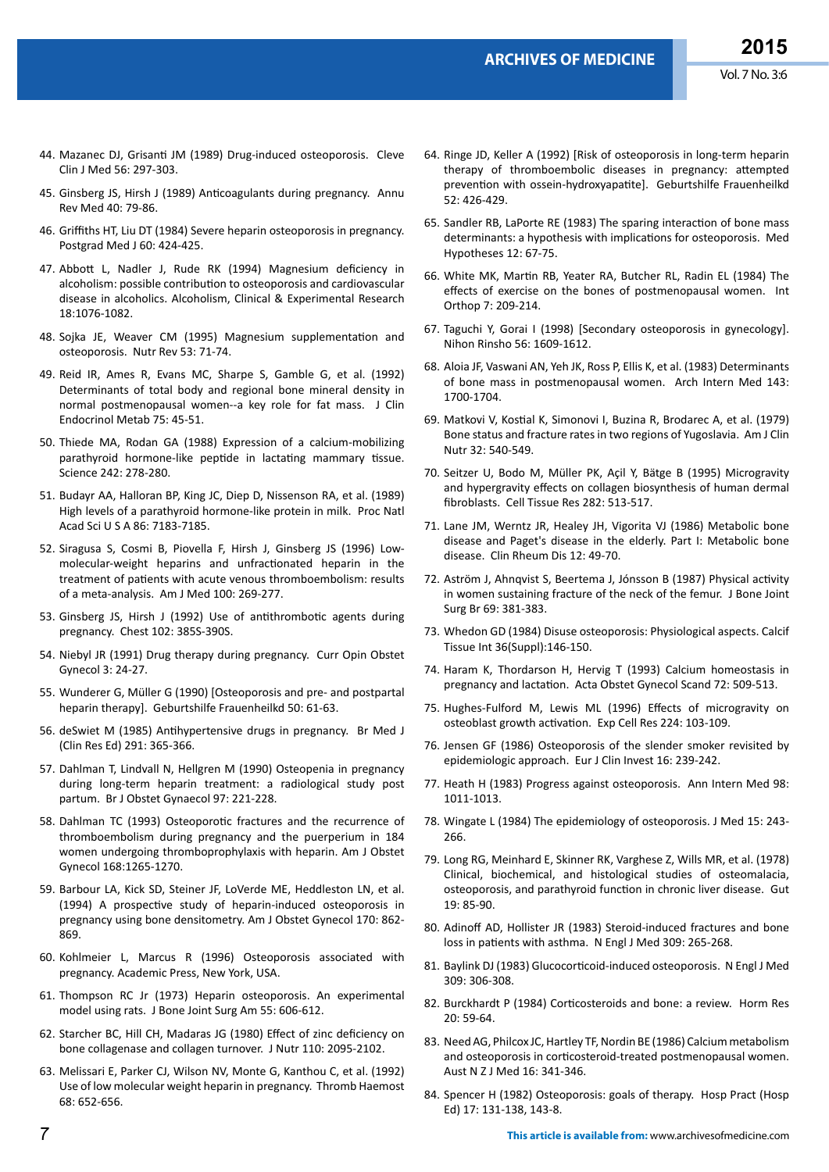- 44. [Mazanec DJ, Grisanti JM \(1989\) Drug-induced osteoporosis. Cleve](http://www.ncbi.nlm.nih.gov/pubmed/2663221)  [Clin J Med 56: 297-303.](http://www.ncbi.nlm.nih.gov/pubmed/2663221)
- 45. [Ginsberg JS, Hirsh J \(1989\) Anticoagulants during pregnancy. Annu](http://www.ncbi.nlm.nih.gov/pubmed/2658763)  [Rev Med 40: 79-86.](http://www.ncbi.nlm.nih.gov/pubmed/2658763)
- 46. [Griffiths HT, Liu DT \(1984\) Severe heparin osteoporosis in pregnancy.](http://www.ncbi.nlm.nih.gov/pubmed/6462984)  [Postgrad Med J 60: 424-425.](http://www.ncbi.nlm.nih.gov/pubmed/6462984)
- 47. [Abbott L, Nadler J, Rude RK \(1994\) Magnesium deficiency in](http://www.ncbi.nlm.nih.gov/pubmed/7847587)  [alcoholism: possible contribution to osteoporosis and cardiovascular](http://www.ncbi.nlm.nih.gov/pubmed/7847587)  [disease in alcoholics. Alcoholism, Clinical & Experimental Research](http://www.ncbi.nlm.nih.gov/pubmed/7847587)  [18:1076-1082.](http://www.ncbi.nlm.nih.gov/pubmed/7847587)
- 48. [Sojka JE, Weaver CM \(1995\) Magnesium supplementation and](http://www.ncbi.nlm.nih.gov/pubmed/7770187)  [osteoporosis. Nutr Rev 53: 71-74.](http://www.ncbi.nlm.nih.gov/pubmed/7770187)
- 49. [Reid IR, Ames R, Evans MC, Sharpe S, Gamble G, et al. \(1992\)](http://www.ncbi.nlm.nih.gov/pubmed/1619030)  [Determinants of total body and regional bone mineral density in](http://www.ncbi.nlm.nih.gov/pubmed/1619030)  [normal postmenopausal women--a key role for fat mass. J Clin](http://www.ncbi.nlm.nih.gov/pubmed/1619030)  [Endocrinol Metab 75: 45-51.](http://www.ncbi.nlm.nih.gov/pubmed/1619030)
- 50. [Thiede MA, Rodan GA \(1988\) Expression of a calcium-mobilizing](http://www.ncbi.nlm.nih.gov/pubmed/3175653)  [parathyroid hormone-like peptide in lactating mammary tissue.](http://www.ncbi.nlm.nih.gov/pubmed/3175653)  [Science 242: 278-280.](http://www.ncbi.nlm.nih.gov/pubmed/3175653)
- 51. [Budayr AA, Halloran BP, King JC, Diep D, Nissenson RA, et al. \(1989\)](http://www.ncbi.nlm.nih.gov/pubmed/2550932)  [High levels of a parathyroid hormone-like protein in milk. Proc Natl](http://www.ncbi.nlm.nih.gov/pubmed/2550932)  [Acad Sci U S A 86: 7183-7185.](http://www.ncbi.nlm.nih.gov/pubmed/2550932)
- 52. [Siragusa S, Cosmi B, Piovella F, Hirsh J, Ginsberg JS \(1996\) Low](http://www.ncbi.nlm.nih.gov/pubmed/8629671)[molecular-weight heparins and unfractionated heparin in the](http://www.ncbi.nlm.nih.gov/pubmed/8629671)  [treatment of patients with acute venous thromboembolism: results](http://www.ncbi.nlm.nih.gov/pubmed/8629671)  [of a meta-analysis. Am J Med 100: 269-277.](http://www.ncbi.nlm.nih.gov/pubmed/8629671)
- 53. [Ginsberg JS, Hirsh J \(1992\) Use of antithrombotic agents during](http://www.ncbi.nlm.nih.gov/pubmed/1395823)  [pregnancy. Chest 102: 385S-390S.](http://www.ncbi.nlm.nih.gov/pubmed/1395823)
- 54. [Niebyl JR \(1991\) Drug therapy during pregnancy. Curr Opin Obstet](http://www.ncbi.nlm.nih.gov/pubmed/1878493)  [Gynecol 3: 24-27.](http://www.ncbi.nlm.nih.gov/pubmed/1878493)
- 55. [Wunderer G, Müller G \(1990\) \[Osteoporosis and pre- and postpartal](http://www.ncbi.nlm.nih.gov/pubmed/2311907)  [heparin therapy\]. Geburtshilfe Frauenheilkd 50: 61-63.](http://www.ncbi.nlm.nih.gov/pubmed/2311907)
- 56. [deSwiet M \(1985\) Antihypertensive drugs in pregnancy. Br Med J](http://www.ncbi.nlm.nih.gov/pubmed/2861881)  [\(Clin Res Ed\) 291: 365-366.](http://www.ncbi.nlm.nih.gov/pubmed/2861881)
- 57. [Dahlman T, Lindvall N, Hellgren M \(1990\) Osteopenia in pregnancy](http://www.ncbi.nlm.nih.gov/pubmed/2110467)  [during long-term heparin treatment: a radiological study post](http://www.ncbi.nlm.nih.gov/pubmed/2110467)  [partum. Br J Obstet Gynaecol 97: 221-228.](http://www.ncbi.nlm.nih.gov/pubmed/2110467)
- 58. [Dahlman TC \(1993\) Osteoporotic fractures and the recurrence of](http://www.ncbi.nlm.nih.gov/pubmed/8475973)  [thromboembolism during pregnancy and the puerperium in 184](http://www.ncbi.nlm.nih.gov/pubmed/8475973)  [women undergoing thromboprophylaxis with heparin. Am J Obstet](http://www.ncbi.nlm.nih.gov/pubmed/8475973)  [Gynecol 168:1265-1270.](http://www.ncbi.nlm.nih.gov/pubmed/8475973)
- 59. [Barbour LA, Kick SD, Steiner JF, LoVerde ME, Heddleston LN, et al.](http://www.ncbi.nlm.nih.gov/pubmed/8141217)  [\(1994\) A prospective study of heparin-induced osteoporosis in](http://www.ncbi.nlm.nih.gov/pubmed/8141217)  [pregnancy using bone densitometry. Am J Obstet Gynecol 170: 862-](http://www.ncbi.nlm.nih.gov/pubmed/8141217) [869.](http://www.ncbi.nlm.nih.gov/pubmed/8141217)
- 60. Kohlmeier L, Marcus R (1996) Osteoporosis associated with pregnancy. Academic Press, New York, USA.
- 61. [Thompson RC Jr \(1973\) Heparin osteoporosis. An experimental](http://www.ncbi.nlm.nih.gov/pubmed/4703211)  [model using rats. J Bone Joint Surg Am 55: 606-612.](http://www.ncbi.nlm.nih.gov/pubmed/4703211)
- 62. [Starcher BC, Hill CH, Madaras JG \(1980\) Effect of zinc deficiency on](http://www.ncbi.nlm.nih.gov/pubmed/6252304)  [bone collagenase and collagen turnover. J Nutr 110: 2095-2102.](http://www.ncbi.nlm.nih.gov/pubmed/6252304)
- 63. [Melissari E, Parker CJ, Wilson NV, Monte G, Kanthou C, et al. \(1992\)](http://www.ncbi.nlm.nih.gov/pubmed/1337628)  [Use of low molecular weight heparin in pregnancy. Thromb Haemost](http://www.ncbi.nlm.nih.gov/pubmed/1337628)  [68: 652-656.](http://www.ncbi.nlm.nih.gov/pubmed/1337628)
- 64. [Ringe JD, Keller A \(1992\) \[Risk of osteoporosis in long-term heparin](http://www.ncbi.nlm.nih.gov/pubmed/1323501)  [therapy of thromboembolic diseases in pregnancy: attempted](http://www.ncbi.nlm.nih.gov/pubmed/1323501)  [prevention with ossein-hydroxyapatite\]. Geburtshilfe Frauenheilkd](http://www.ncbi.nlm.nih.gov/pubmed/1323501)  [52: 426-429.](http://www.ncbi.nlm.nih.gov/pubmed/1323501)
- 65. [Sandler RB, LaPorte RE \(1983\) The sparing interaction of bone mass](http://www.ncbi.nlm.nih.gov/pubmed/6646014)  [determinants: a hypothesis with implications for osteoporosis. Med](http://www.ncbi.nlm.nih.gov/pubmed/6646014)  [Hypotheses 12: 67-75.](http://www.ncbi.nlm.nih.gov/pubmed/6646014)
- 66. [White MK, Martin RB, Yeater RA, Butcher RL, Radin EL \(1984\) The](http://www.ncbi.nlm.nih.gov/pubmed/6746163)  [effects of exercise on the bones of postmenopausal women. Int](http://www.ncbi.nlm.nih.gov/pubmed/6746163)  [Orthop 7: 209-214.](http://www.ncbi.nlm.nih.gov/pubmed/6746163)
- 67. [Taguchi Y, Gorai I \(1998\) \[Secondary osteoporosis in gynecology\].](http://www.ncbi.nlm.nih.gov/pubmed/9648490)  [Nihon Rinsho 56: 1609-1612.](http://www.ncbi.nlm.nih.gov/pubmed/9648490)
- 68. [Aloia JF, Vaswani AN, Yeh JK, Ross P, Ellis K, et al. \(1983\) Determinants](http://www.ncbi.nlm.nih.gov/pubmed/6615091)  [of bone mass in postmenopausal women. Arch Intern Med 143:](http://www.ncbi.nlm.nih.gov/pubmed/6615091)  [1700-1704.](http://www.ncbi.nlm.nih.gov/pubmed/6615091)
- 69. [Matkovi V, Kostial K, Simonovi I, Buzina R, Brodarec A, et al. \(1979\)](http://www.ncbi.nlm.nih.gov/pubmed/420146)  [Bone status and fracture rates in two regions of Yugoslavia. Am J Clin](http://www.ncbi.nlm.nih.gov/pubmed/420146)  [Nutr 32: 540-549.](http://www.ncbi.nlm.nih.gov/pubmed/420146)
- 70. [Seitzer U, Bodo M, Müller PK, Açil Y, Bätge B \(1995\) Microgravity](http://www.ncbi.nlm.nih.gov/pubmed/8581945)  [and hypergravity effects on collagen biosynthesis of human dermal](http://www.ncbi.nlm.nih.gov/pubmed/8581945)  [fibroblasts. Cell Tissue Res 282: 513-517.](http://www.ncbi.nlm.nih.gov/pubmed/8581945)
- 71. [Lane JM, Werntz JR, Healey JH, Vigorita VJ \(1986\) Metabolic bone](http://www.ncbi.nlm.nih.gov/pubmed/3522086)  [disease and Paget's disease in the elderly. Part I: Metabolic bone](http://www.ncbi.nlm.nih.gov/pubmed/3522086)  [disease. Clin Rheum Dis 12: 49-70.](http://www.ncbi.nlm.nih.gov/pubmed/3522086)
- 72. [Aström J, Ahnqvist S, Beertema J, Jónsson B \(1987\) Physical activity](http://www.ncbi.nlm.nih.gov/pubmed/3584188)  [in women sustaining fracture of the neck of the femur. J Bone Joint](http://www.ncbi.nlm.nih.gov/pubmed/3584188)  [Surg Br 69: 381-383.](http://www.ncbi.nlm.nih.gov/pubmed/3584188)
- 73. [Whedon GD \(1984\) Disuse osteoporosis: Physiological aspects. Calcif](http://www.ncbi.nlm.nih.gov/pubmed/6430515)  [Tissue Int 36\(Suppl\):146-150.](http://www.ncbi.nlm.nih.gov/pubmed/6430515)
- 74. [Haram K, Thordarson H, Hervig T \(1993\) Calcium homeostasis in](http://www.ncbi.nlm.nih.gov/pubmed/8213094)  [pregnancy and lactation. Acta Obstet Gynecol Scand 72: 509-513.](http://www.ncbi.nlm.nih.gov/pubmed/8213094)
- 75. [Hughes-Fulford M, Lewis ML \(1996\) Effects of microgravity on](http://www.ncbi.nlm.nih.gov/pubmed/8612673)  [osteoblast growth activation. Exp Cell Res 224: 103-109.](http://www.ncbi.nlm.nih.gov/pubmed/8612673)
- 76. [Jensen GF \(1986\) Osteoporosis of the slender smoker revisited by](http://www.ncbi.nlm.nih.gov/pubmed/3089821)  [epidemiologic approach. Eur J Clin Invest 16: 239-242.](http://www.ncbi.nlm.nih.gov/pubmed/3089821)
- 77. [Heath H \(1983\) Progress against osteoporosis. Ann Intern Med 98:](http://www.ncbi.nlm.nih.gov/pubmed/6859683)  [1011-1013.](http://www.ncbi.nlm.nih.gov/pubmed/6859683)
- 78. [Wingate L \(1984\) The epidemiology of osteoporosis. J Med 15: 243-](http://www.ncbi.nlm.nih.gov/pmc/articles/PMC2781190/) [266.](http://www.ncbi.nlm.nih.gov/pmc/articles/PMC2781190/)
- 79. [Long RG, Meinhard E, Skinner RK, Varghese Z, Wills MR, et al. \(1978\)](http://www.ncbi.nlm.nih.gov/pubmed/305386)  [Clinical, biochemical, and histological studies of osteomalacia,](http://www.ncbi.nlm.nih.gov/pubmed/305386)  [osteoporosis, and parathyroid function in chronic liver disease. Gut](http://www.ncbi.nlm.nih.gov/pubmed/305386)  [19: 85-90.](http://www.ncbi.nlm.nih.gov/pubmed/305386)
- 80. [Adinoff AD, Hollister JR \(1983\) Steroid-induced fractures and bone](http://www.ncbi.nlm.nih.gov/pubmed/6866051)  [loss in patients with asthma. N Engl J Med 309: 265-268.](http://www.ncbi.nlm.nih.gov/pubmed/6866051)
- 81. [Baylink DJ \(1983\) Glucocorticoid-induced osteoporosis. N Engl J Med](http://www.ncbi.nlm.nih.gov/pubmed/6866054)  [309: 306-308.](http://www.ncbi.nlm.nih.gov/pubmed/6866054)
- 82. [Burckhardt P \(1984\) Corticosteroids and bone: a review. Horm Res](http://www.ncbi.nlm.nih.gov/pubmed/6378748)  [20: 59-64.](http://www.ncbi.nlm.nih.gov/pubmed/6378748)
- 83. [Need AG, Philcox JC, Hartley TF, Nordin BE \(1986\) Calcium metabolism](http://www.ncbi.nlm.nih.gov/pubmed/3465310)  [and osteoporosis in corticosteroid-treated postmenopausal women.](http://www.ncbi.nlm.nih.gov/pubmed/3465310)  [Aust N Z J Med 16: 341-346.](http://www.ncbi.nlm.nih.gov/pubmed/3465310)
- 84. [Spencer H \(1982\) Osteoporosis: goals of therapy. Hosp Pract \(Hosp](http://www.ncbi.nlm.nih.gov/pubmed/7200451)  [Ed\) 17: 131-138, 143-8.](http://www.ncbi.nlm.nih.gov/pubmed/7200451)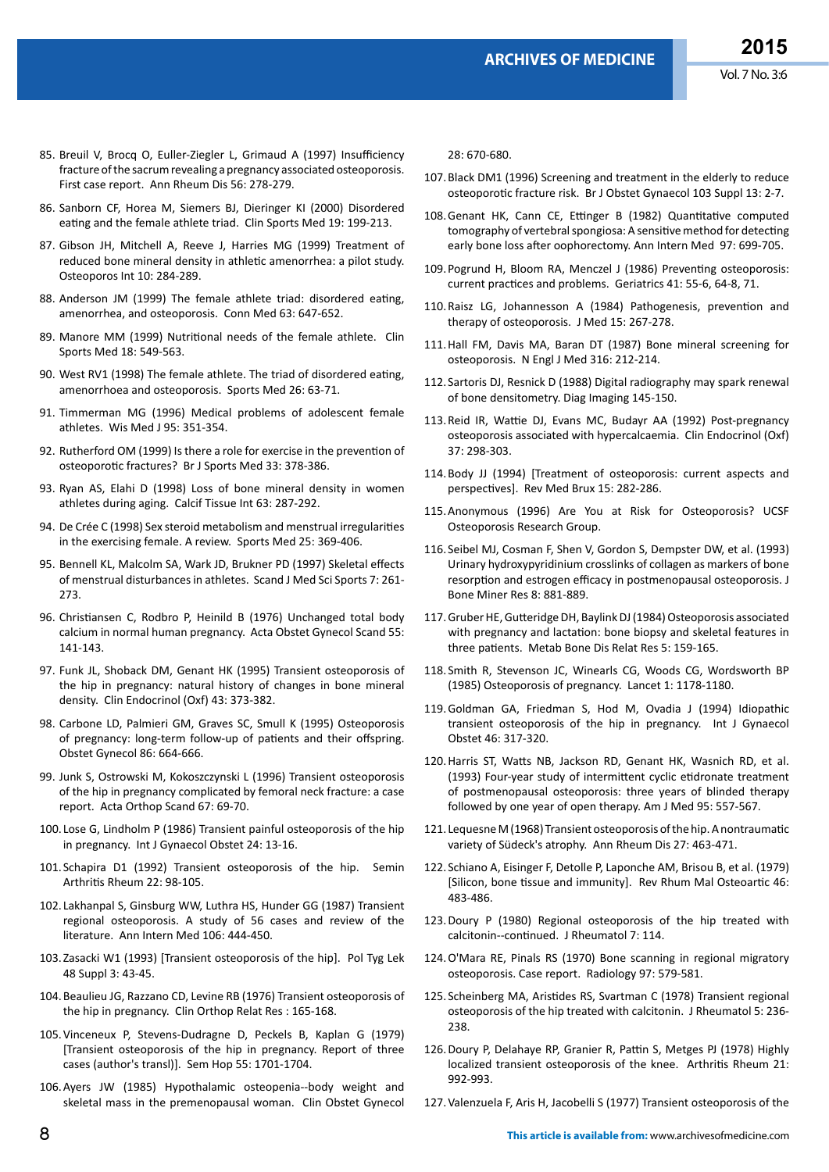- 85. [Breuil V, Brocq O, Euller-Ziegler L, Grimaud A \(1997\) Insufficiency](http://www.ncbi.nlm.nih.gov/pubmed/9166005)  [fracture of the sacrum revealing a pregnancy associated osteoporosis.](http://www.ncbi.nlm.nih.gov/pubmed/9166005)  [First case report. Ann Rheum Dis 56: 278-279.](http://www.ncbi.nlm.nih.gov/pubmed/9166005)
- 86. [Sanborn CF, Horea M, Siemers BJ, Dieringer KI \(2000\) Disordered](http://www.ncbi.nlm.nih.gov/pubmed/10740755)  [eating and the female athlete triad. Clin Sports Med 19: 199-213.](http://www.ncbi.nlm.nih.gov/pubmed/10740755)
- 87. [Gibson JH, Mitchell A, Reeve J, Harries MG \(1999\) Treatment of](http://www.ncbi.nlm.nih.gov/pubmed/10692976)  [reduced bone mineral density in athletic amenorrhea: a pilot study.](http://www.ncbi.nlm.nih.gov/pubmed/10692976)  [Osteoporos Int 10: 284-289.](http://www.ncbi.nlm.nih.gov/pubmed/10692976)
- 88. [Anderson JM \(1999\) The female athlete triad: disordered eating,](http://www.ncbi.nlm.nih.gov/pubmed/10589144)  [amenorrhea, and osteoporosis. Conn Med 63: 647-652.](http://www.ncbi.nlm.nih.gov/pubmed/10589144)
- 89. [Manore MM \(1999\) Nutritional needs of the female athlete. Clin](http://www.ncbi.nlm.nih.gov/pubmed/10410841)  [Sports Med 18: 549-563.](http://www.ncbi.nlm.nih.gov/pubmed/10410841)
- 90. [West RV1 \(1998\) The female athlete. The triad of disordered eating,](http://www.ncbi.nlm.nih.gov/pubmed/9777680)  [amenorrhoea and osteoporosis. Sports Med 26: 63-71.](http://www.ncbi.nlm.nih.gov/pubmed/9777680)
- 91. [Timmerman MG \(1996\) Medical problems of adolescent female](http://www.ncbi.nlm.nih.gov/pubmed/8693752)  [athletes. Wis Med J 95: 351-354.](http://www.ncbi.nlm.nih.gov/pubmed/8693752)
- 92. [Rutherford OM \(1999\) Is there a role for exercise in the prevention of](http://www.ncbi.nlm.nih.gov/pubmed/10597845)  [osteoporotic fractures? Br J Sports Med 33: 378-386.](http://www.ncbi.nlm.nih.gov/pubmed/10597845)
- 93. [Ryan AS, Elahi D \(1998\) Loss of bone mineral density in women](http://www.ncbi.nlm.nih.gov/pubmed/9744985)  [athletes during aging. Calcif Tissue Int 63: 287-292.](http://www.ncbi.nlm.nih.gov/pubmed/9744985)
- 94. [De Crée C \(1998\) Sex steroid metabolism and menstrual irregularities](http://www.ncbi.nlm.nih.gov/pubmed/9680659)  [in the exercising female. A review. Sports Med 25: 369-406.](http://www.ncbi.nlm.nih.gov/pubmed/9680659)
- 95. [Bennell KL, Malcolm SA, Wark JD, Brukner PD \(1997\) Skeletal effects](http://www.ncbi.nlm.nih.gov/pubmed/9338943)  [of menstrual disturbances in athletes. Scand J Med Sci Sports 7: 261-](http://www.ncbi.nlm.nih.gov/pubmed/9338943) [273.](http://www.ncbi.nlm.nih.gov/pubmed/9338943)
- 96. [Christiansen C, Rodbro P, Heinild B \(1976\) Unchanged total body](http://www.ncbi.nlm.nih.gov/pubmed/1258620)  [calcium in normal human pregnancy. Acta Obstet Gynecol Scand 55:](http://www.ncbi.nlm.nih.gov/pubmed/1258620)  [141-143.](http://www.ncbi.nlm.nih.gov/pubmed/1258620)
- 97. [Funk JL, Shoback DM, Genant HK \(1995\) Transient osteoporosis of](http://www.ncbi.nlm.nih.gov/pubmed/7586609)  [the hip in pregnancy: natural history of changes in bone mineral](http://www.ncbi.nlm.nih.gov/pubmed/7586609)  [density. Clin Endocrinol \(Oxf\) 43: 373-382.](http://www.ncbi.nlm.nih.gov/pubmed/7586609)
- 98. [Carbone LD, Palmieri GM, Graves SC, Smull K \(1995\) Osteoporosis](http://www.ncbi.nlm.nih.gov/pubmed/7675406)  [of pregnancy: long-term follow-up of patients and their offspring.](http://www.ncbi.nlm.nih.gov/pubmed/7675406)  [Obstet Gynecol 86: 664-666.](http://www.ncbi.nlm.nih.gov/pubmed/7675406)
- 99. [Junk S, Ostrowski M, Kokoszczynski L \(1996\) Transient osteoporosis](http://www.ncbi.nlm.nih.gov/pubmed/8615107)  [of the hip in pregnancy complicated by femoral neck fracture: a case](http://www.ncbi.nlm.nih.gov/pubmed/8615107)  [report. Acta Orthop Scand 67: 69-70.](http://www.ncbi.nlm.nih.gov/pubmed/8615107)
- 100. [Lose G, Lindholm P \(1986\) Transient painful osteoporosis of the hip](http://www.ncbi.nlm.nih.gov/pubmed/2874063)  [in pregnancy. Int J Gynaecol Obstet 24: 13-16.](http://www.ncbi.nlm.nih.gov/pubmed/2874063)
- 101. [Schapira D1 \(1992\) Transient osteoporosis of the hip. Semin](http://www.ncbi.nlm.nih.gov/pubmed/1439847)  [Arthritis Rheum 22: 98-105.](http://www.ncbi.nlm.nih.gov/pubmed/1439847)
- 102. [Lakhanpal S, Ginsburg WW, Luthra HS, Hunder GG \(1987\) Transient](http://www.ncbi.nlm.nih.gov/pubmed/3813239)  [regional osteoporosis. A study of 56 cases and review of the](http://www.ncbi.nlm.nih.gov/pubmed/3813239)  [literature. Ann Intern Med 106: 444-450.](http://www.ncbi.nlm.nih.gov/pubmed/3813239)
- 103.[Zasacki W1 \(1993\) \[Transient osteoporosis of the hip\]. Pol Tyg Lek](http://www.ncbi.nlm.nih.gov/pubmed/8309837)  [48 Suppl 3: 43-45.](http://www.ncbi.nlm.nih.gov/pubmed/8309837)
- 104.[Beaulieu JG, Razzano CD, Levine RB \(1976\) Transient osteoporosis of](http://www.ncbi.nlm.nih.gov/pubmed/943255)  [the hip in pregnancy. Clin Orthop Relat Res : 165-168.](http://www.ncbi.nlm.nih.gov/pubmed/943255)
- 105.[Vinceneux P, Stevens-Dudragne D, Peckels B, Kaplan G \(1979\)](http://www.ncbi.nlm.nih.gov/pubmed/230587)  [\[Transient osteoporosis of the hip in pregnancy. Report of three](http://www.ncbi.nlm.nih.gov/pubmed/230587)  [cases \(author's transl\)\]. Sem Hop 55: 1701-1704.](http://www.ncbi.nlm.nih.gov/pubmed/230587)
- 106.[Ayers JW \(1985\) Hypothalamic osteopenia--body weight and](http://www.ncbi.nlm.nih.gov/pubmed/4053455)  [skeletal mass in the premenopausal woman. Clin Obstet Gynecol](http://www.ncbi.nlm.nih.gov/pubmed/4053455)

[28: 670-680.](http://www.ncbi.nlm.nih.gov/pubmed/4053455)

- 107.[Black DM1 \(1996\) Screening and treatment in the elderly to reduce](http://www.ncbi.nlm.nih.gov/pubmed/8624337)  [osteoporotic fracture risk. Br J Obstet Gynaecol 103 Suppl 13: 2-7.](http://www.ncbi.nlm.nih.gov/pubmed/8624337)
- 108.[Genant HK, Cann CE, Ettinger B \(1982\) Quantitative computed](http://www.ncbi.nlm.nih.gov/pubmed/6291439)  [tomography of vertebral spongiosa: A sensitive method for detecting](http://www.ncbi.nlm.nih.gov/pubmed/6291439)  [early bone loss after oophorectomy. Ann Intern Med 97: 699-705.](http://www.ncbi.nlm.nih.gov/pubmed/6291439)
- 109.[Pogrund H, Bloom RA, Menczel J \(1986\) Preventing osteoporosis:](http://www.ncbi.nlm.nih.gov/pubmed/3957044)  [current practices and problems. Geriatrics 41: 55-6, 64-8, 71.](http://www.ncbi.nlm.nih.gov/pubmed/3957044)
- 110.[Raisz LG, Johannesson A \(1984\) Pathogenesis, prevention and](http://www.ncbi.nlm.nih.gov/pubmed/6597258)  [therapy of osteoporosis. J Med 15: 267-278.](http://www.ncbi.nlm.nih.gov/pubmed/6597258)
- 111.[Hall FM, Davis MA, Baran DT \(1987\) Bone mineral screening for](http://www.ncbi.nlm.nih.gov/pubmed/3540669)  [osteoporosis. N Engl J Med 316: 212-214.](http://www.ncbi.nlm.nih.gov/pubmed/3540669)
- 112. Sartoris DJ, Resnick D (1988) Digital radiography may spark renewal of bone densitometry. Diag Imaging 145-150.
- 113.[Reid IR, Wattie DJ, Evans MC, Budayr AA \(1992\) Post-pregnancy](http://www.ncbi.nlm.nih.gov/pubmed/1424213)  [osteoporosis associated with hypercalcaemia. Clin Endocrinol \(Oxf\)](http://www.ncbi.nlm.nih.gov/pubmed/1424213)  [37: 298-303.](http://www.ncbi.nlm.nih.gov/pubmed/1424213)
- 114.[Body JJ \(1994\) \[Treatment of osteoporosis: current aspects and](http://www.ncbi.nlm.nih.gov/pubmed/7939005)  [perspectives\]. Rev Med Brux 15: 282-286.](http://www.ncbi.nlm.nih.gov/pubmed/7939005)
- 115.Anonymous (1996) Are You at Risk for Osteoporosis? UCSF Osteoporosis Research Group.
- 116. [Seibel MJ, Cosman F, Shen V, Gordon S, Dempster DW, et al. \(1993\)](http://www.ncbi.nlm.nih.gov/pubmed/8352070)  [Urinary hydroxypyridinium crosslinks of collagen as markers of bone](http://www.ncbi.nlm.nih.gov/pubmed/8352070)  [resorption and estrogen efficacy in postmenopausal osteoporosis. J](http://www.ncbi.nlm.nih.gov/pubmed/8352070)  [Bone Miner Res 8: 881-889.](http://www.ncbi.nlm.nih.gov/pubmed/8352070)
- 117.[Gruber HE, Gutteridge DH, Baylink DJ \(1984\) Osteoporosis associated](http://www.ncbi.nlm.nih.gov/pubmed/6738354)  [with pregnancy and lactation: bone biopsy and skeletal features in](http://www.ncbi.nlm.nih.gov/pubmed/6738354)  [three patients. Metab Bone Dis Relat Res 5: 159-165.](http://www.ncbi.nlm.nih.gov/pubmed/6738354)
- 118. [Smith R, Stevenson JC, Winearls CG, Woods CG, Wordsworth BP](http://www.ncbi.nlm.nih.gov/pubmed/2860385)  [\(1985\) Osteoporosis of pregnancy. Lancet 1: 1178-1180.](http://www.ncbi.nlm.nih.gov/pubmed/2860385)
- 119.[Goldman GA, Friedman S, Hod M, Ovadia J \(1994\) Idiopathic](http://www.ncbi.nlm.nih.gov/pubmed/7806002)  [transient osteoporosis of the hip in pregnancy. Int J Gynaecol](http://www.ncbi.nlm.nih.gov/pubmed/7806002)  [Obstet 46: 317-320.](http://www.ncbi.nlm.nih.gov/pubmed/7806002)
- 120.[Harris ST, Watts NB, Jackson RD, Genant HK, Wasnich RD, et al.](http://www.ncbi.nlm.nih.gov/pubmed/8259772)  [\(1993\) Four-year study of intermittent cyclic etidronate treatment](http://www.ncbi.nlm.nih.gov/pubmed/8259772)  [of postmenopausal osteoporosis: three years of blinded therapy](http://www.ncbi.nlm.nih.gov/pubmed/8259772)  [followed by one year of open therapy. Am J Med 95: 557-567.](http://www.ncbi.nlm.nih.gov/pubmed/8259772)
- 121. [Lequesne M \(1968\) Transient osteoporosis of the hip. A nontraumatic](http://www.ncbi.nlm.nih.gov/pubmed/4175667)  [variety of Südeck's atrophy. Ann Rheum Dis 27: 463-471.](http://www.ncbi.nlm.nih.gov/pubmed/4175667)
- 122. [Schiano A, Eisinger F, Detolle P, Laponche AM, Brisou B, et al. \(1979\)](http://www.ncbi.nlm.nih.gov/pubmed/504950)  [\[Silicon, bone tissue and immunity\]. Rev Rhum Mal Osteoartic 46:](http://www.ncbi.nlm.nih.gov/pubmed/504950)  [483-486.](http://www.ncbi.nlm.nih.gov/pubmed/504950)
- 123.[Doury P \(1980\) Regional osteoporosis of the hip treated with](http://www.ncbi.nlm.nih.gov/pubmed/7354463)  [calcitonin--continued. J Rheumatol 7: 114.](http://www.ncbi.nlm.nih.gov/pubmed/7354463)
- 124.[O'Mara RE, Pinals RS \(1970\) Bone scanning in regional migratory](http://www.ncbi.nlm.nih.gov/pubmed/5491744)  [osteoporosis. Case report. Radiology 97: 579-581.](http://www.ncbi.nlm.nih.gov/pubmed/5491744)
- 125. [Scheinberg MA, Aristides RS, Svartman C \(1978\) Transient regional](http://www.ncbi.nlm.nih.gov/pubmed/671444)  [osteoporosis of the hip treated with calcitonin. J Rheumatol 5: 236-](http://www.ncbi.nlm.nih.gov/pubmed/671444) [238.](http://www.ncbi.nlm.nih.gov/pubmed/671444)
- 126.[Doury P, Delahaye RP, Granier R, Pattin S, Metges PJ \(1978\) Highly](http://www.ncbi.nlm.nih.gov/pubmed/737026)  [localized transient osteoporosis of the knee. Arthritis Rheum 21:](http://www.ncbi.nlm.nih.gov/pubmed/737026)  [992-993.](http://www.ncbi.nlm.nih.gov/pubmed/737026)
- 127.[Valenzuela F, Aris H, Jacobelli S \(1977\) Transient osteoporosis of the](http://www.ncbi.nlm.nih.gov/pubmed/69711)